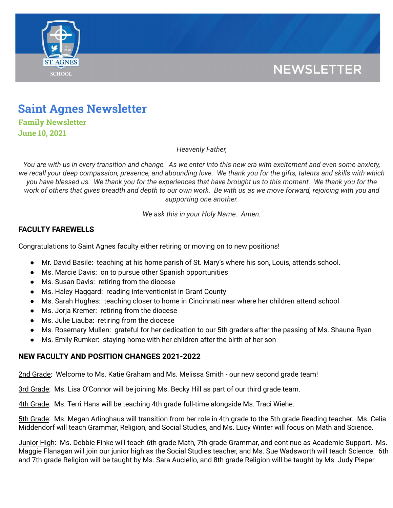

## **NEWSLETTER**

# **Saint Agnes Newsletter**

**Family Newsletter June 10, 2021**

*Heavenly Father,*

You are with us in every transition and change. As we enter into this new era with excitement and even some anxiety, we recall your deep compassion, presence, and abounding love. We thank you for the gifts, talents and skills with which you have blessed us. We thank you for the experiences that have brought us to this moment. We thank you for the work of others that gives breadth and depth to our own work. Be with us as we move forward, rejoicing with you and *supporting one another.*

*We ask this in your Holy Name. Amen.*

### **FACULTY FAREWELLS**

Congratulations to Saint Agnes faculty either retiring or moving on to new positions!

- Mr. David Basile: teaching at his home parish of St. Mary's where his son, Louis, attends school.
- Ms. Marcie Davis: on to pursue other Spanish opportunities
- Ms. Susan Davis: retiring from the diocese
- Ms. Haley Haggard: reading interventionist in Grant County
- Ms. Sarah Hughes: teaching closer to home in Cincinnati near where her children attend school
- Ms. Jorja Kremer: retiring from the diocese
- Ms. Julie Liauba: retiring from the diocese
- Ms. Rosemary Mullen: grateful for her dedication to our 5th graders after the passing of Ms. Shauna Ryan
- Ms. Emily Rumker: staying home with her children after the birth of her son

#### **NEW FACULTY AND POSITION CHANGES 2021-2022**

2nd Grade: Welcome to Ms. Katie Graham and Ms. Melissa Smith - our new second grade team!

3rd Grade: Ms. Lisa O'Connor will be joining Ms. Becky Hill as part of our third grade team.

4th Grade: Ms. Terri Hans will be teaching 4th grade full-time alongside Ms. Traci Wiehe.

5th Grade: Ms. Megan Arlinghaus will transition from her role in 4th grade to the 5th grade Reading teacher. Ms. Celia Middendorf will teach Grammar, Religion, and Social Studies, and Ms. Lucy Winter will focus on Math and Science.

Junior High: Ms. Debbie Finke will teach 6th grade Math, 7th grade Grammar, and continue as Academic Support. Ms. Maggie Flanagan will join our junior high as the Social Studies teacher, and Ms. Sue Wadsworth will teach Science. 6th and 7th grade Religion will be taught by Ms. Sara Auciello, and 8th grade Religion will be taught by Ms. Judy Pieper.